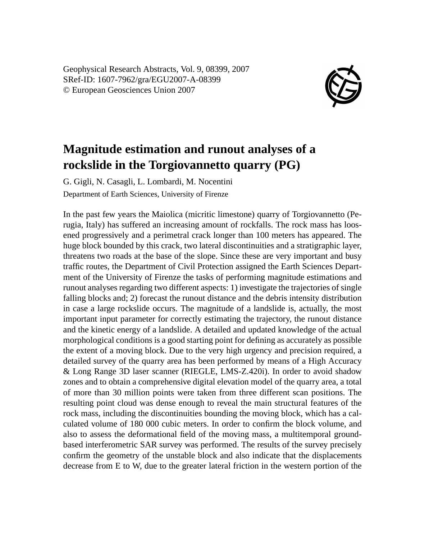Geophysical Research Abstracts, Vol. 9, 08399, 2007 SRef-ID: 1607-7962/gra/EGU2007-A-08399 © European Geosciences Union 2007



## **Magnitude estimation and runout analyses of a rockslide in the Torgiovannetto quarry (PG)**

G. Gigli, N. Casagli, L. Lombardi, M. Nocentini Department of Earth Sciences, University of Firenze

In the past few years the Maiolica (micritic limestone) quarry of Torgiovannetto (Perugia, Italy) has suffered an increasing amount of rockfalls. The rock mass has loosened progressively and a perimetral crack longer than 100 meters has appeared. The huge block bounded by this crack, two lateral discontinuities and a stratigraphic layer, threatens two roads at the base of the slope. Since these are very important and busy traffic routes, the Department of Civil Protection assigned the Earth Sciences Department of the University of Firenze the tasks of performing magnitude estimations and runout analyses regarding two different aspects: 1) investigate the trajectories of single falling blocks and; 2) forecast the runout distance and the debris intensity distribution in case a large rockslide occurs. The magnitude of a landslide is, actually, the most important input parameter for correctly estimating the trajectory, the runout distance and the kinetic energy of a landslide. A detailed and updated knowledge of the actual morphological conditions is a good starting point for defining as accurately as possible the extent of a moving block. Due to the very high urgency and precision required, a detailed survey of the quarry area has been performed by means of a High Accuracy & Long Range 3D laser scanner (RIEGLE, LMS-Z.420i). In order to avoid shadow zones and to obtain a comprehensive digital elevation model of the quarry area, a total of more than 30 million points were taken from three different scan positions. The resulting point cloud was dense enough to reveal the main structural features of the rock mass, including the discontinuities bounding the moving block, which has a calculated volume of 180 000 cubic meters. In order to confirm the block volume, and also to assess the deformational field of the moving mass, a multitemporal groundbased interferometric SAR survey was performed. The results of the survey precisely confirm the geometry of the unstable block and also indicate that the displacements decrease from E to W, due to the greater lateral friction in the western portion of the